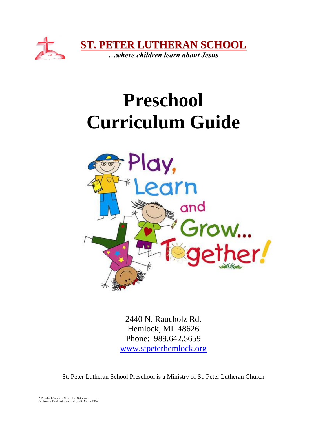

# **Preschool Curriculum Guide**



2440 N. Raucholz Rd. Hemlock, MI 48626 Phone: 989.642.5659 [www.stpeterhemlock.org](http://www.stpeterhemlock.org/)

St. Peter Lutheran School Preschool is a Ministry of St. Peter Lutheran Church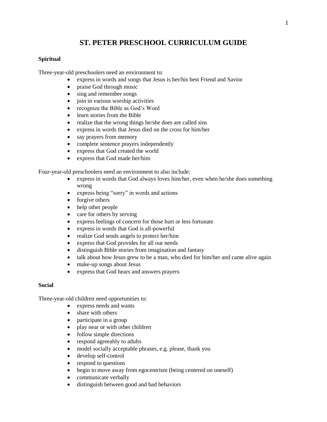# **ST. PETER PRESCHOOL CURRICULUM GUIDE**

#### **Spiritual**

Three-year-old preschoolers need an environment to:

- express in words and songs that Jesus is her/his best Friend and Savior
- praise God through music
- sing and remember songs
- join in various worship activities
- recognize the Bible as God's Word
- learn stories from the Bible
- realize that the wrong things he/she does are called sins
- express in words that Jesus died on the cross for him/her
- say prayers from memory
- complete sentence prayers independently
- express that God created the world
- express that God made her/him

Four-year-old preschoolers need an environment to also include:

- express in words that God always loves him/her, even when he/she does something wrong
- express being "sorry" in words and actions
- forgive others
- help other people
- care for others by serving
- express feelings of concern for those hurt or less fortunate
- express in words that God is all-powerful
- realize God sends angels to protect her/him
- express that God provides for all our needs
- distinguish Bible stories from imagination and fantasy
- talk about how Jesus grew to be a man, who died for him/her and came alive again
- make-up songs about Jesus
- express that God hears and answers prayers

#### **Social**

Three-year-old children need opportunities to:

- express needs and wants
- share with others
- participate in a group
- play near or with other children
- follow simple directions
- respond agreeably to adults
- model socially acceptable phrases, e.g. please, thank you
- develop self-control
- respond to questions
- begin to move away from egocentrism (being centered on oneself)
- communicate verbally
- distinguish between good and bad behaviors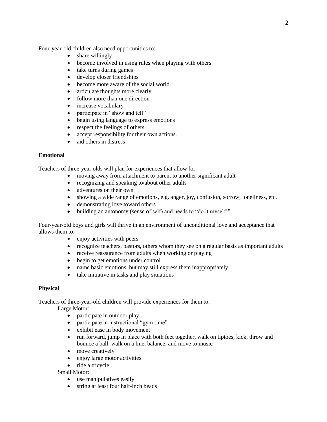Four-year-old children also need opportunities to:

- share willingly
- become involved in using rules when playing with others
- take turns during games
- develop closer friendships
- become more aware of the social world
- articulate thoughts more clearly
- follow more than one direction
- increase vocabulary
- participate in "show and tell"
- begin using language to express emotions
- respect the feelings of others
- accept responsibility for their own actions.
- aid others in distress

#### **Emotional**

Teachers of three-year olds will plan for experiences that allow for:

- moving away from attachment to parent to another significant adult
- recognizing and speaking to/about other adults
- adventures on their own
- showing a wide range of emotions, e.g. anger, joy, confusion, sorrow, loneliness, etc.
- demonstrating love toward others
- building an autonomy (sense of self) and needs to "do it myself!"

Four-year-old boys and girls will thrive in an environment of unconditional love and acceptance that allows them to:

- enjoy activities with peers
- recognize teachers, pastors, others whom they see on a regular basis as important adults
- receive reassurance from adults when working or playing
- begin to get emotions under control
- name basic emotions, but may still express them inappropriately
- take initiative in tasks and play situations

#### **Physical**

Teachers of three-year-old children will provide experiences for them to:

Large Motor:

- participate in outdoor play
- participate in instructional "gym time"
- exhibit ease in body movement
- run forward, jump in place with both feet together, walk on tiptoes, kick, throw and bounce a ball, walk on a line, balance, and move to music
- move creatively
- enjoy large motor activities
- ride a tricycle

Small Motor:

- use manipulatives easily
- string at least four half-inch beads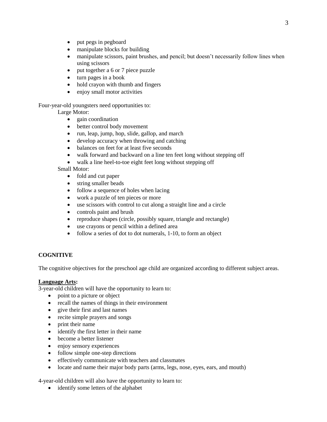- put pegs in pegboard
- manipulate blocks for building
- manipulate scissors, paint brushes, and pencil; but doesn't necessarily follow lines when using scissors
- put together a 6 or 7 piece puzzle
- turn pages in a book
- hold crayon with thumb and fingers
- enjoy small motor activities

Four-year-old youngsters need opportunities to:

Large Motor:

- gain coordination
- better control body movement
- run, leap, jump, hop, slide, gallop, and march
- develop accuracy when throwing and catching
- balances on feet for at least five seconds
- walk forward and backward on a line ten feet long without stepping off
- walk a line heel-to-toe eight feet long without stepping off

#### Small Motor:

- fold and cut paper
- string smaller beads
- follow a sequence of holes when lacing
- work a puzzle of ten pieces or more
- use scissors with control to cut along a straight line and a circle
- controls paint and brush
- reproduce shapes (circle, possibly square, triangle and rectangle)
- use crayons or pencil within a defined area
- follow a series of dot to dot numerals, 1-10, to form an object

### **COGNITIVE**

The cognitive objectives for the preschool age child are organized according to different subject areas.

# **Language Arts:**

3-year-old children will have the opportunity to learn to:

- point to a picture or object
- recall the names of things in their environment
- give their first and last names
- recite simple prayers and songs
- print their name
- identify the first letter in their name
- become a better listener
- enjoy sensory experiences
- follow simple one-step directions
- effectively communicate with teachers and classmates
- locate and name their major body parts (arms, legs, nose, eyes, ears, and mouth)

4-year-old children will also have the opportunity to learn to:

• identify some letters of the alphabet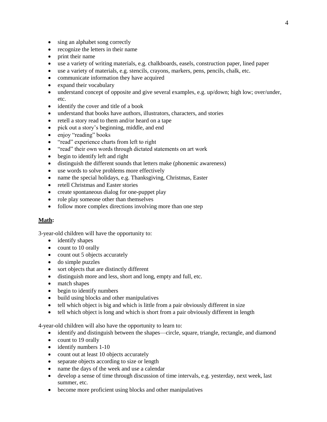- sing an alphabet song correctly
- recognize the letters in their name
- print their name
- use a variety of writing materials, e.g. chalkboards, easels, construction paper, lined paper
- use a variety of materials, e.g. stencils, crayons, markers, pens, pencils, chalk, etc.
- communicate information they have acquired
- expand their vocabulary
- understand concept of opposite and give several examples, e.g. up/down; high low; over/under, etc.
- identify the cover and title of a book
- understand that books have authors, illustrators, characters, and stories
- retell a story read to them and/or heard on a tape
- pick out a story's beginning, middle, and end
- enjoy "reading" books
- "read" experience charts from left to right
- "read" their own words through dictated statements on art work
- begin to identify left and right
- distinguish the different sounds that letters make (phonemic awareness)
- use words to solve problems more effectively
- name the special holidays, e.g. Thanksgiving, Christmas, Easter
- retell Christmas and Easter stories
- create spontaneous dialog for one-puppet play
- role play someone other than themselves
- follow more complex directions involving more than one step

#### **Math:**

3-year-old children will have the opportunity to:

- identify shapes
- count to 10 orally
- count out 5 objects accurately
- do simple puzzles
- sort objects that are distinctly different
- distinguish more and less, short and long, empty and full, etc.
- match shapes
- begin to identify numbers
- build using blocks and other manipulatives
- tell which object is big and which is little from a pair obviously different in size
- tell which object is long and which is short from a pair obviously different in length

4-year-old children will also have the opportunity to learn to:

- identify and distinguish between the shapes—circle, square, triangle, rectangle, and diamond
- count to 19 orally
- identify numbers 1-10
- count out at least 10 objects accurately
- separate objects according to size or length
- name the days of the week and use a calendar
- develop a sense of time through discussion of time intervals, e.g. yesterday, next week, last summer, etc.
- become more proficient using blocks and other manipulatives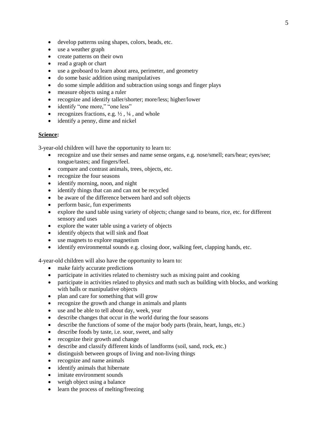- develop patterns using shapes, colors, beads, etc.
- use a weather graph
- create patterns on their own
- read a graph or chart
- use a geoboard to learn about area, perimeter, and geometry
- do some basic addition using manipulatives
- do some simple addition and subtraction using songs and finger plays
- measure objects using a ruler
- recognize and identify taller/shorter; more/less; higher/lower
- identify "one more," "one less"
- recognizes fractions, e.g.  $\frac{1}{2}$ ,  $\frac{1}{4}$ , and whole
- identify a penny, dime and nickel

#### **Science:**

3-year-old children will have the opportunity to learn to:

- recognize and use their senses and name sense organs, e.g. nose/smell; ears/hear; eyes/see; tongue/tastes; and fingers/feel.
- compare and contrast animals, trees, objects, etc.
- recognize the four seasons
- identify morning, noon, and night
- identify things that can and can not be recycled
- be aware of the difference between hard and soft objects
- perform basic, fun experiments
- explore the sand table using variety of objects; change sand to beans, rice, etc. for different sensory and uses
- explore the water table using a variety of objects
- identify objects that will sink and float
- use magnets to explore magnetism
- identify environmental sounds e.g. closing door, walking feet, clapping hands, etc.

4-year-old children will also have the opportunity to learn to:

- make fairly accurate predictions
- participate in activities related to chemistry such as mixing paint and cooking
- participate in activities related to physics and math such as building with blocks, and working with balls or manipulative objects
- plan and care for something that will grow
- recognize the growth and change in animals and plants
- use and be able to tell about day, week, year
- describe changes that occur in the world during the four seasons
- describe the functions of some of the major body parts (brain, heart, lungs, etc.)
- describe foods by taste, i.e. sour, sweet, and salty
- recognize their growth and change
- describe and classify different kinds of landforms (soil, sand, rock, etc.)
- distinguish between groups of living and non-living things
- recognize and name animals
- identify animals that hibernate
- imitate environment sounds
- weigh object using a balance
- learn the process of melting/freezing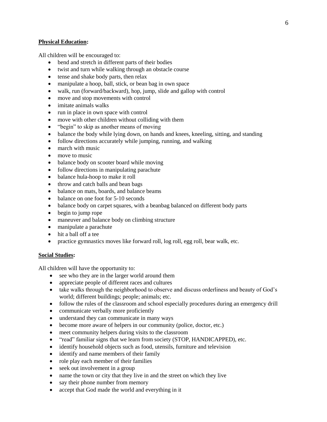#### **Physical Education:**

All children will be encouraged to:

- bend and stretch in different parts of their bodies
- twist and turn while walking through an obstacle course
- tense and shake body parts, then relax
- manipulate a hoop, ball, stick, or bean bag in own space
- walk, run (forward/backward), hop, jump, slide and gallop with control
- move and stop movements with control
- imitate animals walks
- run in place in own space with control
- move with other children without colliding with them
- "begin" to skip as another means of moving
- balance the body while lying down, on hands and knees, kneeling, sitting, and standing
- follow directions accurately while jumping, running, and walking
- march with music
- move to music
- balance body on scooter board while moving
- follow directions in manipulating parachute
- balance hula-hoop to make it roll
- throw and catch balls and bean bags
- balance on mats, boards, and balance beams
- balance on one foot for 5-10 seconds
- balance body on carpet squares, with a beanbag balanced on different body parts
- begin to jump rope
- maneuver and balance body on climbing structure
- manipulate a parachute
- hit a ball off a tee
- practice gymnastics moves like forward roll, log roll, egg roll, bear walk, etc.

#### **Social Studies:**

All children will have the opportunity to:

- see who they are in the larger world around them
- appreciate people of different races and cultures
- take walks through the neighborhood to observe and discuss orderliness and beauty of God's world; different buildings; people; animals; etc.
- follow the rules of the classroom and school especially procedures during an emergency drill
- communicate verbally more proficiently
- understand they can communicate in many ways
- become more aware of helpers in our community (police, doctor, etc.)
- meet community helpers during visits to the classroom
- "read" familiar signs that we learn from society (STOP, HANDICAPPED), etc.
- identify household objects such as food, utensils, furniture and television
- identify and name members of their family
- role play each member of their families
- seek out involvement in a group
- name the town or city that they live in and the street on which they live
- say their phone number from memory
- accept that God made the world and everything in it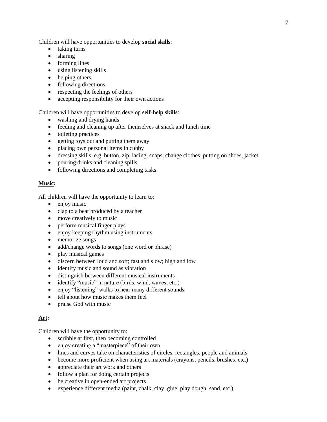Children will have opportunities to develop **social skills**:

- taking turns
- sharing
- forming lines
- using listening skills
- helping others
- following directions
- respecting the feelings of others
- accepting responsibility for their own actions

#### Children will have opportunities to develop **self-help skills**:

- washing and drying hands
- feeding and cleaning up after themselves at snack and lunch time
- toileting practices
- getting toys out and putting them away
- placing own personal items in cubby
- dressing skills, e.g. button, zip, lacing, snaps, change clothes, putting on shoes, jacket
- pouring drinks and cleaning spills
- following directions and completing tasks

#### **Music:**

All children will have the opportunity to learn to:

- enjoy music
- clap to a beat produced by a teacher
- move creatively to music
- perform musical finger plays
- enjoy keeping rhythm using instruments
- memorize songs
- add/change words to songs (one word or phrase)
- play musical games
- discern between loud and soft; fast and slow; high and low
- identify music and sound as vibration
- distinguish between different musical instruments
- identify "music" in nature (birds, wind, waves, etc.)
- enjoy "listening" walks to hear many different sounds
- tell about how music makes them feel
- praise God with music

#### **Art:**

Children will have the opportunity to:

- scribble at first, then becoming controlled
- enjoy creating a "masterpiece" of their own
- lines and curves take on characteristics of circles, rectangles, people and animals
- become more proficient when using art materials (crayons, pencils, brushes, etc.)
- appreciate their art work and others
- follow a plan for doing certain projects
- be creative in open-ended art projects
- experience different media (paint, chalk, clay, glue, play dough, sand, etc.)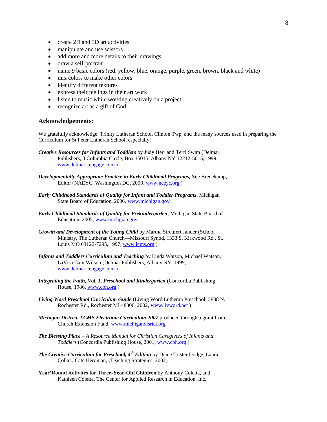- create 2D and 3D art activities
- manipulate and use scissors
- add more and more details to their drawings
- draw a self-portrait
- name 9 basic colors (red, yellow, blue, orange, purple, green, brown, black and white)
- mix colors to make other colors
- identify different textures
- express their feelings in their art work
- listen to music while working creatively on a project
- recognize art as a gift of God

#### **Acknowledgements:**

.

We gratefully acknowledge, Trinity Lutheran School, Clinton Twp. and the many sources used in preparing the Curriculum for St Peter Lutheran School, especially:

- *Creative Resources for Infants and Toddlers* by Judy Herr and Terri Swim (Delmar Publishers, 3 Columbia Circle, Box 15015, Albany NY 12212-5015, 1999, [www.delmar.cengage.com](http://www.delmar.cengage.com/) )
- *Developmentally Appropriate Practice in Early Childhood Programs,* Sue Bredekamp, Editor (NAEYC, Washington DC, 2009, [www.naeyc.org](http://www.naeyc.org/) )
- *Early Childhood Standards of Quality for Infant and Toddler Programs,* Michigan State Board of Education, 2006, [www.michigan.gov](http://www.michigan.gov/)
- *Early Childhood Standards of Quality for Prekindergarten*, Michigan State Board of Education, 2005[, www.michgian.gov](http://www.michgian.gov/)
- *Growth and Development of the Young Child* by Martha Streufert Jander (School Ministry, The Lutheran Church—Missouri Synod, 1333 S. Kirkwood Rd., St. Louis MO 63122-7295, 1997, [www.lcms.org](http://www.lcms.org/))
- *Infants and Toddlers Curriculum and Teaching* by Linda Watson, Michael Watson, LaVisa Cam Wilson (Delmar Publishers, Albany NY, 1999, [www.delmar.cengage.com](http://www.delmar.cengage.com/) )
- *Integrating the Faith, Vol. 1, Preschool and Kindergarten (Concordia Publishing* House, 1986[, www.cph.org](http://www.cph.org/) )
- *Living Word Preschool Curriculum Guide* (Living Word Lutheran Preschool, 3838 N. Rochester Rd., Rochester MI 48306, 2002, [www.livword.net](http://www.livword.net/) )
- *Michigan District, LCMS Electronic Curriculum 2007* produced through a grant from Church Extension Fund, [www.michigandisrict.org](http://www.michigandisrict.org/)
- *The Blessing Place – A Resource Manual for Christian Caregivers of Infants and Toddlers* (Concordia Publishing House, 2001, [www.cph.org](http://www.cph.org/) )
- *The Creative Curriculum for Preschool, 4th Edition* by Diane Trister Dodge, Laura Colker, Cate Heroman, (Teaching Strategies, 2002)
- **Year'Round Activites for Three-Year-Old Children** by Anthony Coletta, and Kathleen Coletta, The Center for Applied Research in Education, Inc.